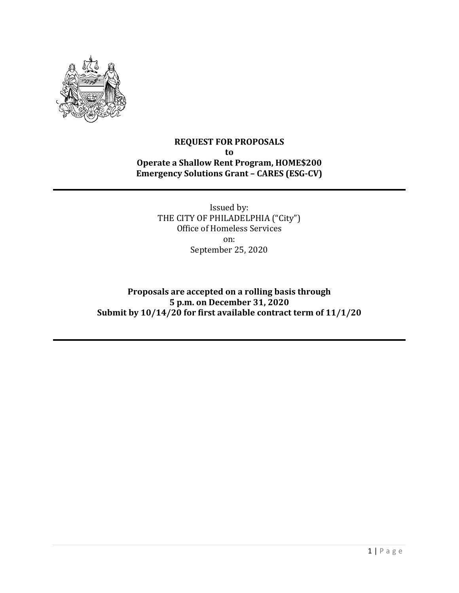

# **REQUEST FOR PROPOSALS to Operate a Shallow Rent Program, HOME\$200 Emergency Solutions Grant – CARES (ESG-CV)**

Issued by: THE CITY OF PHILADELPHIA ("City") Office of Homeless Services on: September 25, 2020

**Proposals are accepted on a rolling basis through 5 p.m. on December 31, 2020 Submit by 10/14/20 for first available contract term of 11/1/20**

1 | Page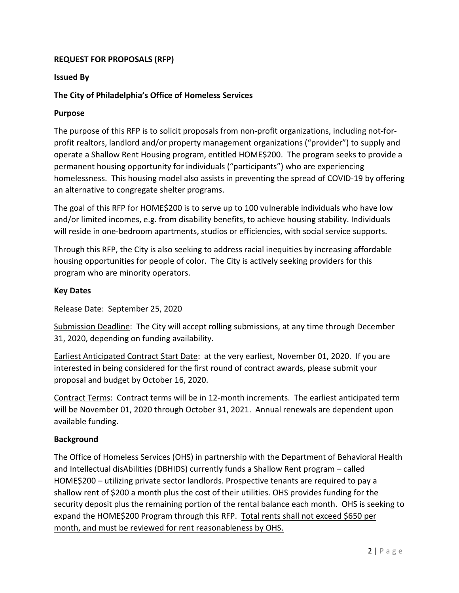# **REQUEST FOR PROPOSALS (RFP)**

#### **Issued By**

### **The City of Philadelphia's Office of Homeless Services**

#### **Purpose**

The purpose of this RFP is to solicit proposals from non-profit organizations, including not-forprofit realtors, landlord and/or property management organizations ("provider") to supply and operate a Shallow Rent Housing program, entitled HOME\$200. The program seeks to provide a permanent housing opportunity for individuals ("participants") who are experiencing homelessness. This housing model also assists in preventing the spread of COVID-19 by offering an alternative to congregate shelter programs.

The goal of this RFP for HOME\$200 is to serve up to 100 vulnerable individuals who have low and/or limited incomes, e.g. from disability benefits, to achieve housing stability. Individuals will reside in one-bedroom apartments, studios or efficiencies, with social service supports.

Through this RFP, the City is also seeking to address racial inequities by increasing affordable housing opportunities for people of color. The City is actively seeking providers for this program who are minority operators.

#### **Key Dates**

Release Date: September 25, 2020

Submission Deadline: The City will accept rolling submissions, at any time through December 31, 2020, depending on funding availability.

Earliest Anticipated Contract Start Date: at the very earliest, November 01, 2020. If you are interested in being considered for the first round of contract awards, please submit your proposal and budget by October 16, 2020.

Contract Terms: Contract terms will be in 12-month increments. The earliest anticipated term will be November 01, 2020 through October 31, 2021. Annual renewals are dependent upon available funding.

#### **Background**

The Office of Homeless Services (OHS) in partnership with the Department of Behavioral Health and Intellectual disAbilities (DBHIDS) currently funds a Shallow Rent program – called HOME\$200 – utilizing private sector landlords. Prospective tenants are required to pay a shallow rent of \$200 a month plus the cost of their utilities. OHS provides funding for the security deposit plus the remaining portion of the rental balance each month. OHS is seeking to expand the HOME\$200 Program through this RFP. Total rents shall not exceed \$650 per month, and must be reviewed for rent reasonableness by OHS.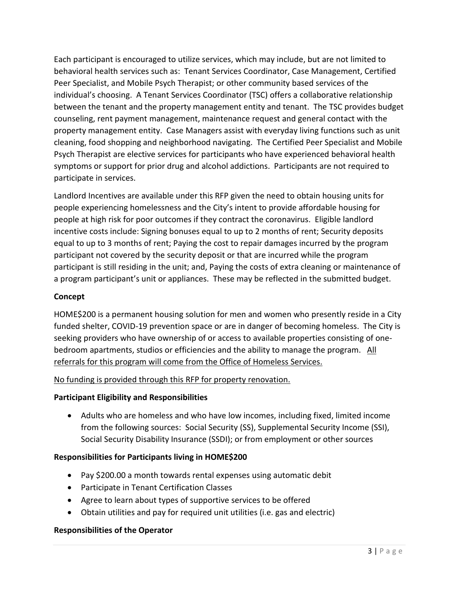Each participant is encouraged to utilize services, which may include, but are not limited to behavioral health services such as: Tenant Services Coordinator, Case Management, Certified Peer Specialist, and Mobile Psych Therapist; or other community based services of the individual's choosing. A Tenant Services Coordinator (TSC) offers a collaborative relationship between the tenant and the property management entity and tenant. The TSC provides budget counseling, rent payment management, maintenance request and general contact with the property management entity. Case Managers assist with everyday living functions such as unit cleaning, food shopping and neighborhood navigating. The Certified Peer Specialist and Mobile Psych Therapist are elective services for participants who have experienced behavioral health symptoms or support for prior drug and alcohol addictions. Participants are not required to participate in services.

Landlord Incentives are available under this RFP given the need to obtain housing units for people experiencing homelessness and the City's intent to provide affordable housing for people at high risk for poor outcomes if they contract the coronavirus. Eligible landlord incentive costs include: Signing bonuses equal to up to 2 months of rent; Security deposits equal to up to 3 months of rent; Paying the cost to repair damages incurred by the program participant not covered by the security deposit or that are incurred while the program participant is still residing in the unit; and, Paying the costs of extra cleaning or maintenance of a program participant's unit or appliances. These may be reflected in the submitted budget.

# **Concept**

HOME\$200 is a permanent housing solution for men and women who presently reside in a City funded shelter, COVID-19 prevention space or are in danger of becoming homeless. The City is seeking providers who have ownership of or access to available properties consisting of onebedroom apartments, studios or efficiencies and the ability to manage the program. All referrals for this program will come from the Office of Homeless Services.

# No funding is provided through this RFP for property renovation.

# **Participant Eligibility and Responsibilities**

• Adults who are homeless and who have low incomes, including fixed, limited income from the following sources: Social Security (SS), Supplemental Security Income (SSI), Social Security Disability Insurance (SSDI); or from employment or other sources

# **Responsibilities for Participants living in HOME\$200**

- Pay \$200.00 a month towards rental expenses using automatic debit
- Participate in Tenant Certification Classes
- Agree to learn about types of supportive services to be offered
- Obtain utilities and pay for required unit utilities (i.e. gas and electric)

# **Responsibilities of the Operator**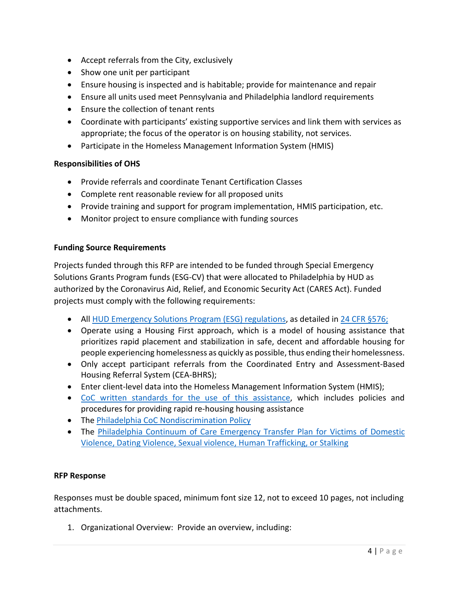- Accept referrals from the City, exclusively
- Show one unit per participant
- Ensure housing is inspected and is habitable; provide for maintenance and repair
- Ensure all units used meet Pennsylvania and Philadelphia landlord requirements
- Ensure the collection of tenant rents
- Coordinate with participants' existing supportive services and link them with services as appropriate; the focus of the operator is on housing stability, not services.
- Participate in the Homeless Management Information System (HMIS)

### **Responsibilities of OHS**

- Provide referrals and coordinate Tenant Certification Classes
- Complete rent reasonable review for all proposed units
- Provide training and support for program implementation, HMIS participation, etc.
- Monitor project to ensure compliance with funding sources

### **Funding Source Requirements**

Projects funded through this RFP are intended to be funded through Special Emergency Solutions Grants Program funds (ESG-CV) that were allocated to Philadelphia by HUD as authorized by the Coronavirus Aid, Relief, and Economic Security Act (CARES Act). Funded projects must comply with the following requirements:

- All [HUD Emergency Solutions Program \(ESG\) regulations,](https://www.hudexchange.info/programs/esg/esg-law-regulations-and-notices/#laws) as detailed in [24 CFR §576;](https://www.govinfo.gov/content/pkg/CFR-2018-title24-vol3/xml/CFR-2018-title24-vol3-part576.xml#seqnum576.409)
- Operate using a Housing First approach, which is a model of housing assistance that prioritizes rapid placement and stabilization in safe, decent and affordable housing for people experiencing homelessness as quickly as possible, thus ending their homelessness.
- Only accept participant referrals from the Coordinated Entry and Assessment-Based Housing Referral System (CEA-BHRS);
- Enter client-level data into the Homeless Management Information System (HMIS);
- [CoC written standards for the use of this assistance,](http://philadelphiaofficeofhomelessservices.org/wp-content/uploads/2018/09/Standards-for-Providing-Assistance-Under-ESG-and-CoC-Programs0D0A-REVISED-August-2018-for-posting.pdf) which includes policies and procedures for providing rapid re-housing housing assistance
- The [Philadelphia CoC Nondiscrimination Policy](http://philadelphiaofficeofhomelessservices.org/wp-content/uploads/2017/12/scanned-signed-board-approved-nondiscrimination-policy.pdf)
- The [Philadelphia Continuum of Care Emergency Transfer Plan for Victims of Domestic](http://philadelphiaofficeofhomelessservices.org/wp-content/uploads/2018/09/Philadelphia-CoC-Emergency-Transfer-Plan-for-posting.pdf)  [Violence, Dating Violence, Sexual violence, Human Trafficking, or Stalking](http://philadelphiaofficeofhomelessservices.org/wp-content/uploads/2018/09/Philadelphia-CoC-Emergency-Transfer-Plan-for-posting.pdf)

#### **RFP Response**

Responses must be double spaced, minimum font size 12, not to exceed 10 pages, not including attachments.

1. Organizational Overview: Provide an overview, including: